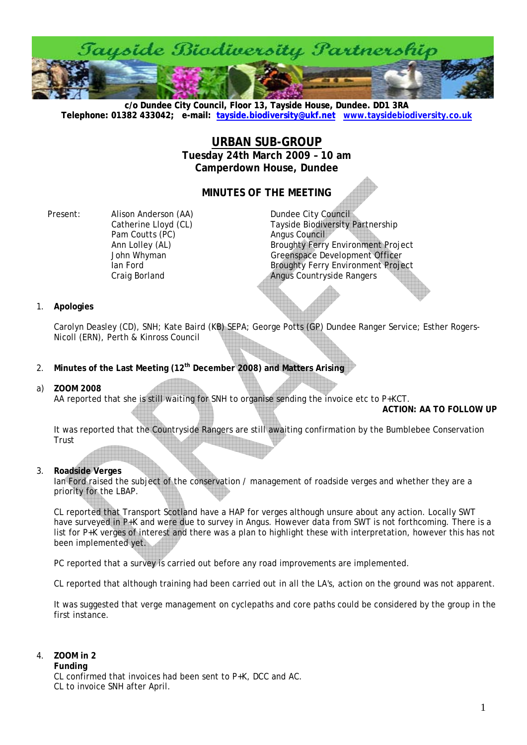

**c/o Dundee City Council, Floor 13, Tayside House, Dundee. DD1 3RA [Telephone: 01382 433042; e-mail: tayside.biodiversity@ukf.net](mailto:tayside.biodiversity@ukf.net) www.taysidebiodiversity.co.u[k](http://www.taysidebiodiversity.co.uk/)**

# **URBAN SUB-GROUP Tuesday 24th March 2009 – 10 am Camperdown House, Dundee**

# **MINUTES OF THE MEETING**

Present: Alison Anderson (AA) Dundee City Council Pam Coutts (PC) and Angus Council

Catherine Lloyd (CL) Tayside Biodiversity Partnership Ann Lolley (AL) **Broughty Ferry Environment Project John Whyman** Greenspace Development Officer Ian Ford **Broughty Ferry Environment Project** Craig Borland **Angus Countryside Rangers** 

# 1. **Apologies**

Carolyn Deasley (CD), SNH; Kate Baird (KB) SEPA; George Potts (GP) Dundee Ranger Service; Esther Rogers-Nicoll (ERN), Perth & Kinross Council

- 2. **Minutes of the Last Meeting (12th December 2008) and Matters Arising**
- a) **ZOOM 2008**

AA reported that she is still waiting for SNH to organise sending the invoice etc to P+KCT.

**ACTION: AA TO FOLLOW UP** 

It was reported that the Countryside Rangers are still awaiting confirmation by the Bumblebee Conservation Trust

# 3. **Roadside Verges**

Ian Ford raised the subject of the conservation / management of roadside verges and whether they are a priority for the LBAP.

CL reported that Transport Scotland have a HAP for verges although unsure about any action. Locally SWT have surveyed in P<sub>+</sub>K and were due to survey in Angus. However data from SWT is not forthcoming. There is a list for P+K verges of interest and there was a plan to highlight these with interpretation, however this has not been implemented yet.

PC reported that a survey is carried out before any road improvements are implemented.

CL reported that although training had been carried out in all the LA's, action on the ground was not apparent.

It was suggested that verge management on cyclepaths and core paths could be considered by the group in the first instance.

## 4. **ZOOM in 2**

#### **Funding**

CL confirmed that invoices had been sent to P+K, DCC and AC. CL to invoice SNH after April.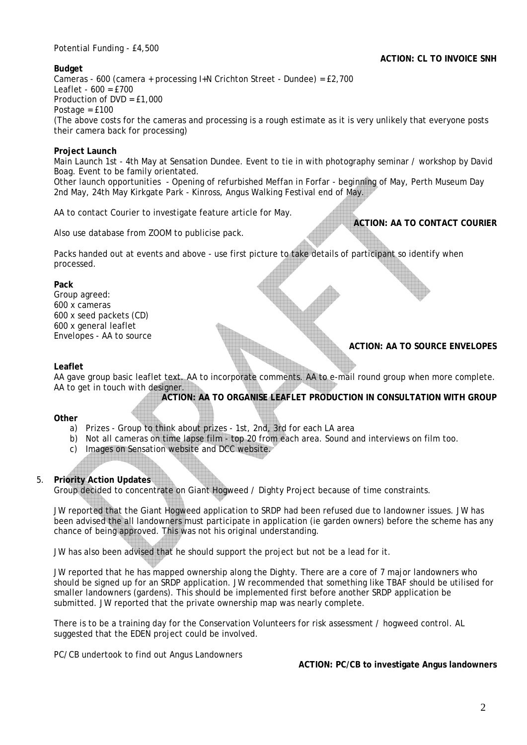Potential Funding - £4,500

# **ACTION: CL TO INVOICE SNH**

**ACTION: AA TO CONTACT COURIER** 

**ACTION: AA TO SOURCE ENVELOPES** 

# **Budget**

Cameras - 600 (camera + processing I+N Crichton Street - Dundee) = £2,700  $Leaflet - 600 = f700$ Production of DVD = £1,000 Postage = £100 (The above costs for the cameras and processing is a rough estimate as it is very unlikely that everyone posts their camera back for processing)

# **Project Launch**

Main Launch 1st - 4th May at Sensation Dundee. Event to tie in with photography seminar / workshop by David Boag. Event to be family orientated.

Other launch opportunities - Opening of refurbished Meffan in Forfar - beginning of May, Perth Museum Day 2nd May, 24th May Kirkgate Park - Kinross, Angus Walking Festival end of May.

AA to contact Courier to investigate feature article for May.

Also use database from ZOOM to publicise pack.

Packs handed out at events and above - use first picture to take details of participant so identify when processed.

#### **Pack**

Group agreed: 600 x cameras 600 x seed packets (CD) 600 x general leaflet Envelopes - AA to source

# **Leaflet**

AA gave group basic leaflet text. AA to incorporate comments. AA to e-mail round group when more complete. AA to get in touch with designer.

**ACTION: AA TO ORGANISE LEAFLET PRODUCTION IN CONSULTATION WITH GROUP** 

#### **Other**

- a) Prizes Group to think about prizes 1st, 2nd, 3rd for each LA area
- b) Not all cameras on time lapse film top 20 from each area. Sound and interviews on film too.
- c) Images on Sensation website and DCC website.

# 5. **Priority Action Updates**

Group decided to concentrate on Giant Hogweed / Dighty Project because of time constraints.

JW reported that the Giant Hogweed application to SRDP had been refused due to landowner issues. JW has been advised the all landowners must participate in application (ie garden owners) before the scheme has any chance of being approved. This was not his original understanding.

JW has also been advised that he should support the project but not be a lead for it.

JW reported that he has mapped ownership along the Dighty. There are a core of 7 major landowners who should be signed up for an SRDP application. JW recommended that something like TBAF should be utilised for smaller landowners (gardens). This should be implemented first before another SRDP application be submitted. JW reported that the private ownership map was nearly complete.

There is to be a training day for the Conservation Volunteers for risk assessment / hogweed control. AL suggested that the EDEN project could be involved.

PC/CB undertook to find out Angus Landowners

**ACTION: PC/CB to investigate Angus landowners**